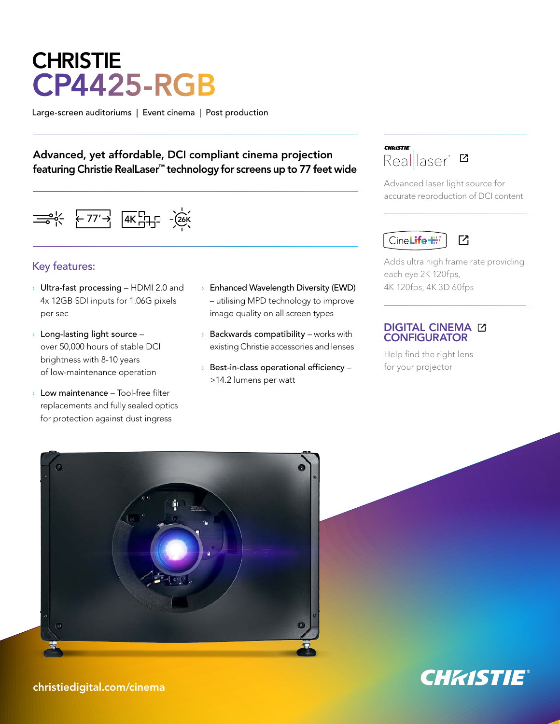# **CHRISTIE** CP4425-RGB

Large-screen auditoriums | Event cinema | Post production

## Advanced, yet affordable, DCI compliant cinema projection featuring Christie RealLaser™ technology for screens up to 77 feet wide

 $\leftarrow$  77'  $\rightarrow$   $\left[4K_{11}^{C1}$   $-2K_{12}^{C1}$ 

### Key features:

- **Vultra-fast processing HDMI 2.0 and** 4x 12GB SDI inputs for 1.06G pixels per sec
- $\rightarrow$  Long-lasting light source over 50,000 hours of stable DCI brightness with 8-10 years of low-maintenance operation
- › Low maintenance Tool-free filter replacements and fully sealed optics for protection against dust ingress
- › Enhanced Wavelength Diversity (EWD) – utilising MPD technology to improve image quality on all screen types
- $\rightarrow$  Backwards compatibility works with existing Christie accessories and lenses
- $\rightarrow$  Best-in-class operational efficiency >14.2 lumens per watt



Advanced laser light source for accurate reproduction of DCI content

#### CineLife<sup>+</sup>  $\overline{1}$

Adds ultra high frame rate providing each eye 2K 120fps, 4K 120fps, 4K 3D 60fps

#### [DIGITAL CINEMA](https://www.christiedigital.com/help-center/tools-and-calculators/digital-cinema-configurator/?utm_source=collateral&utm_medium=datasheet&utm_campaign=update&utm_content=CP4420-RGB) **CONFIGURATOR**

Help find the right lens for your projector





christiedigital.com/cinema